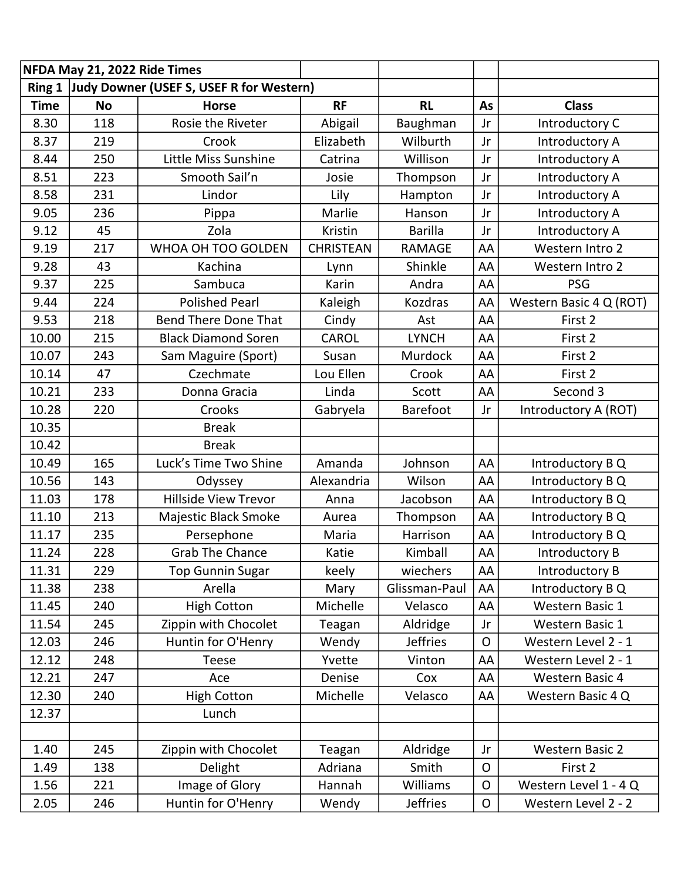| NFDA May 21, 2022 Ride Times                    |           |                             |                  |                 |                |                         |  |
|-------------------------------------------------|-----------|-----------------------------|------------------|-----------------|----------------|-------------------------|--|
| Ring 1 Judy Downer (USEF S, USEF R for Western) |           |                             |                  |                 |                |                         |  |
| <b>Time</b>                                     | <b>No</b> | <b>Horse</b>                | <b>RF</b>        | <b>RL</b>       | As             | <b>Class</b>            |  |
| 8.30                                            | 118       | Rosie the Riveter           | Abigail          | Baughman        | Jr             | Introductory C          |  |
| 8.37                                            | 219       | Crook                       | Elizabeth        | Wilburth        | Jr             | Introductory A          |  |
| 8.44                                            | 250       | Little Miss Sunshine        | Catrina          | Willison        | Jr             | Introductory A          |  |
| 8.51                                            | 223       | Smooth Sail'n               | Josie            | Thompson        | Jr             | Introductory A          |  |
| 8.58                                            | 231       | Lindor                      | Lily             | Hampton         | Jr             | Introductory A          |  |
| 9.05                                            | 236       | Pippa                       | Marlie           | Hanson          | Jr             | Introductory A          |  |
| 9.12                                            | 45        | Zola                        | Kristin          | <b>Barilla</b>  | Jr             | Introductory A          |  |
| 9.19                                            | 217       | WHOA OH TOO GOLDEN          | <b>CHRISTEAN</b> | <b>RAMAGE</b>   | AA             | Western Intro 2         |  |
| 9.28                                            | 43        | Kachina                     | Lynn             | Shinkle         | AA             | Western Intro 2         |  |
| 9.37                                            | 225       | Sambuca                     | Karin            | Andra           | AA             | <b>PSG</b>              |  |
| 9.44                                            | 224       | <b>Polished Pearl</b>       | Kaleigh          | Kozdras         | AA             | Western Basic 4 Q (ROT) |  |
| 9.53                                            | 218       | <b>Bend There Done That</b> | Cindy            | Ast             | AA             | First 2                 |  |
| 10.00                                           | 215       | <b>Black Diamond Soren</b>  | CAROL            | <b>LYNCH</b>    | AA             | First 2                 |  |
| 10.07                                           | 243       | Sam Maguire (Sport)         | Susan            | Murdock         | AA             | First 2                 |  |
| 10.14                                           | 47        | Czechmate                   | Lou Ellen        | Crook           | AA             | First 2                 |  |
| 10.21                                           | 233       | Donna Gracia                | Linda            | Scott           | AA             | Second 3                |  |
| 10.28                                           | 220       | Crooks                      | Gabryela         | <b>Barefoot</b> | Jr             | Introductory A (ROT)    |  |
| 10.35                                           |           | <b>Break</b>                |                  |                 |                |                         |  |
| 10.42                                           |           | <b>Break</b>                |                  |                 |                |                         |  |
| 10.49                                           | 165       | Luck's Time Two Shine       | Amanda           | Johnson         | AA             | Introductory B Q        |  |
| 10.56                                           | 143       | Odyssey                     | Alexandria       | Wilson          | AA             | Introductory B Q        |  |
| 11.03                                           | 178       | <b>Hillside View Trevor</b> | Anna             | Jacobson        | AA             | Introductory B Q        |  |
| 11.10                                           | 213       | Majestic Black Smoke        | Aurea            | Thompson        | AA             | Introductory B Q        |  |
| 11.17                                           | 235       | Persephone                  | Maria            | Harrison        | AA             | Introductory B Q        |  |
| 11.24                                           | 228       | <b>Grab The Chance</b>      | Katie            | Kimball         | AA             | Introductory B          |  |
| 11.31                                           | 229       | <b>Top Gunnin Sugar</b>     | keely            | wiechers        | AA             | Introductory B          |  |
| 11.38                                           | 238       | Arella                      | Mary             | Glissman-Paul   | AA             | Introductory B Q        |  |
| 11.45                                           | 240       | <b>High Cotton</b>          | Michelle         | Velasco         | AA             | Western Basic 1         |  |
| 11.54                                           | 245       | Zippin with Chocolet        | Teagan           | Aldridge        | Jr             | <b>Western Basic 1</b>  |  |
| 12.03                                           | 246       | Huntin for O'Henry          | Wendy            | <b>Jeffries</b> | $\overline{O}$ | Western Level 2 - 1     |  |
| 12.12                                           | 248       | <b>Teese</b>                | Yvette           | Vinton          | AA             | Western Level 2 - 1     |  |
| 12.21                                           | 247       | Ace                         | Denise           | Cox             | AA             | <b>Western Basic 4</b>  |  |
| 12.30                                           | 240       | <b>High Cotton</b>          | Michelle         | Velasco         | AA             | Western Basic 4 Q       |  |
| 12.37                                           |           | Lunch                       |                  |                 |                |                         |  |
|                                                 |           |                             |                  |                 |                |                         |  |
| 1.40                                            | 245       | Zippin with Chocolet        | Teagan           | Aldridge        | Jr             | <b>Western Basic 2</b>  |  |
| 1.49                                            | 138       | Delight                     | Adriana          | Smith           | $\mathsf{O}$   | First 2                 |  |
| 1.56                                            | 221       | Image of Glory              | Hannah           | <b>Williams</b> | $\mathsf{O}$   | Western Level 1 - 4 Q   |  |
| 2.05                                            | 246       | Huntin for O'Henry          | Wendy            | <b>Jeffries</b> | $\mathsf{O}$   | Western Level 2 - 2     |  |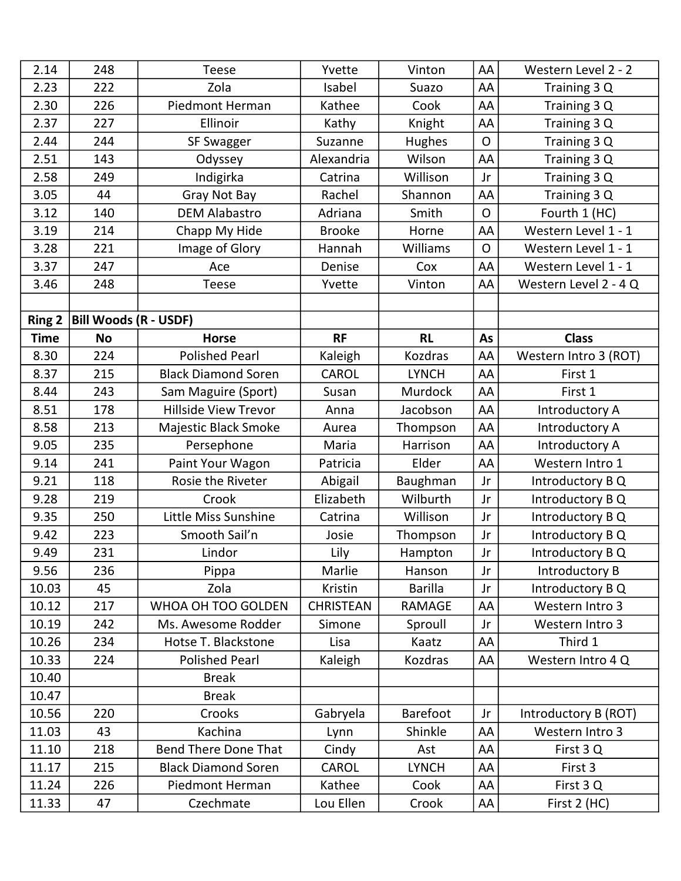| 2.14          | 248                          | <b>Teese</b>                | Yvette           | Vinton          | AA           | Western Level 2 - 2   |
|---------------|------------------------------|-----------------------------|------------------|-----------------|--------------|-----------------------|
| 2.23          | 222                          | Zola                        | Isabel           | Suazo           | AA           | Training 3 Q          |
| 2.30          | 226                          | Piedmont Herman             | Kathee           | Cook            | AA           | Training 3 Q          |
| 2.37          | 227                          | Ellinoir                    | Kathy            | Knight          | AA           | Training 3 Q          |
| 2.44          | 244                          | SF Swagger                  | Suzanne          | <b>Hughes</b>   | $\mathsf{O}$ | Training 3 Q          |
| 2.51          | 143                          | Odyssey                     | Alexandria       | Wilson          | AA           | Training 3 Q          |
| 2.58          | 249                          | Indigirka                   | Catrina          | Willison        | Jr           | Training 3 Q          |
| 3.05          | 44                           | Gray Not Bay                | Rachel           | Shannon         | AA           | Training 3 Q          |
| 3.12          | 140                          | <b>DEM Alabastro</b>        | Adriana          | Smith           | $\Omega$     | Fourth 1 (HC)         |
| 3.19          | 214                          | Chapp My Hide               | <b>Brooke</b>    | Horne           | AA           | Western Level 1 - 1   |
| 3.28          | 221                          | Image of Glory              | Hannah           | Williams        | $\Omega$     | Western Level 1 - 1   |
| 3.37          | 247                          | Ace                         | Denise           | Cox             | AA           | Western Level 1 - 1   |
| 3.46          | 248                          | Teese                       | Yvette           | Vinton          | AA           | Western Level 2 - 4 Q |
|               |                              |                             |                  |                 |              |                       |
| <b>Ring 2</b> | <b>Bill Woods (R - USDF)</b> |                             |                  |                 |              |                       |
| <b>Time</b>   | <b>No</b>                    | <b>Horse</b>                | <b>RF</b>        | <b>RL</b>       | As           | <b>Class</b>          |
| 8.30          | 224                          | <b>Polished Pearl</b>       | Kaleigh          | Kozdras         | AA           | Western Intro 3 (ROT) |
| 8.37          | 215                          | <b>Black Diamond Soren</b>  | CAROL            | <b>LYNCH</b>    | AA           | First 1               |
| 8.44          | 243                          | Sam Maguire (Sport)         | Susan            | Murdock         | AA           | First 1               |
| 8.51          | 178                          | <b>Hillside View Trevor</b> | Anna             | Jacobson        | AA           | Introductory A        |
| 8.58          | 213                          | Majestic Black Smoke        | Aurea            | Thompson        | AA           | Introductory A        |
| 9.05          | 235                          | Persephone                  | Maria            | Harrison        | AA           | Introductory A        |
| 9.14          | 241                          | Paint Your Wagon            | Patricia         | Elder           | AA           | Western Intro 1       |
| 9.21          | 118                          | Rosie the Riveter           | Abigail          | Baughman        | Jr           | Introductory B Q      |
| 9.28          | 219                          | Crook                       | Elizabeth        | Wilburth        | Jr           | Introductory B Q      |
| 9.35          | 250                          | Little Miss Sunshine        | Catrina          | Willison        | Jr           | Introductory B Q      |
| 9.42          | 223                          | Smooth Sail'n               | Josie            | Thompson        | Jr           | Introductory B Q      |
| 9.49          | 231                          | Lindor                      | Lily             | Hampton         | Jr           | Introductory B Q      |
| 9.56          | 236                          | Pippa                       | Marlie           | Hanson          | Jr           | Introductory B        |
| 10.03         | 45                           | Zola                        | Kristin          | <b>Barilla</b>  | Jr           | Introductory B Q      |
| 10.12         | 217                          | WHOA OH TOO GOLDEN          | <b>CHRISTEAN</b> | <b>RAMAGE</b>   | AA           | Western Intro 3       |
| 10.19         | 242                          | Ms. Awesome Rodder          | Simone           | Sproull         | Jr           | Western Intro 3       |
| 10.26         | 234                          | Hotse T. Blackstone         | Lisa             | Kaatz           | AA           | Third 1               |
| 10.33         | 224                          | <b>Polished Pearl</b>       | Kaleigh          | Kozdras         | AA           | Western Intro 4 Q     |
| 10.40         |                              | <b>Break</b>                |                  |                 |              |                       |
| 10.47         |                              | <b>Break</b>                |                  |                 |              |                       |
| 10.56         | 220                          | Crooks                      | Gabryela         | <b>Barefoot</b> | Jr           | Introductory B (ROT)  |
| 11.03         | 43                           | Kachina                     | Lynn             | Shinkle         | AA           | Western Intro 3       |
| 11.10         | 218                          | <b>Bend There Done That</b> | Cindy            | Ast             | AA           | First 3Q              |
| 11.17         | 215                          | <b>Black Diamond Soren</b>  | CAROL            | <b>LYNCH</b>    | AA           | First 3               |
| 11.24         | 226                          | <b>Piedmont Herman</b>      | Kathee           | Cook            | AA           | First 3 Q             |
| 11.33         | 47                           | Czechmate                   | Lou Ellen        | Crook           | AA           | First 2 (HC)          |